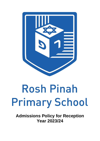

# **Rosh Pinah Primary School**

**Admissions Policy for Reception Year 2023/24**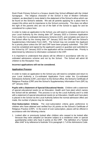Rosh Pinah Primary School is a Scopus Jewish Day School affiliated with the United Synagogue. The religious character of the School is that of Modern Orthodox Judaism, as described in more detail in the statement of the School's ethos which can be found on the School's website. We ask all parents applying for a place here to respect this ethos and its importance to the School community. This does not affect the right of the parents who are not of the faith of the School to apply for and be considered for a place here.

In order to make an application to the School, you will need to complete and return to your Local Authority by the closing date 15<sup>th</sup> January 2023 a Common Application Form under the Co-ordinated Admissions Scheme (CAF), and complete and return to the School office by the closing date  $15<sup>th</sup>$  January 2023 the CRP and the School's Supplementary Information Form (SIF). The School may not consider the Applicant for a priority place unless the SIF and CRP have been properly submitted. The CRP must be completed and signed by the applicant's parent or guardian and submitted to the School by 15<sup>th</sup> January 2023 or the application will be considered late. Priority is determined by reference to information contained in the CRP.

It is important to understand that places will be offered in accordance with the coordinated admissions scheme and not by the School. The School will admit 60 children to the Reception Year.

## **Incorrect applications will not be considered.**

## **Application Process:**

In order to make an application to the School you will need to complete and return to your Local Authority a Co-ordinated Application Form under the Co-ordinated Admissions Scheme (CAF), and return to the School office, the School's Certificate of Religious Practice (CRP) and the School's Supplementary Information Form (SIF) by 15<sup>th</sup> January 2023.

**Pupils with a Statement of Special Educational Needs:** Children with a statement of special educational needs (or an Education, Health and Care plan) which names the School will be admitted. This process is run by the Local Authority and if a child with a statement of special educational needs (or an Education, Health and Care plan) is placed in the School via the Local Authority before the normal admission offers are made, the number of places may be reduced.

**Over-Subscription Criteria:** The over-subscription criteria gives preference to children who have attained and verified four (4) points on the School's Certificate of Religious Practice (CRP). In the event of over-subscription, places will be offered in accordance with the following criteria:

1. Looked after or previously looked after children who ceased to be looked after because they were adopted (or became subject to a residence order or special guardianship order) who have 4 points on the CRP. The definition of a "looked after child" is by reference to footnote 16 to paragraph 1.7 of the Admissions Code.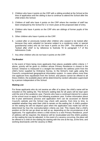- 2. Children who have 4 points on the CRP with a sibling enrolled at the School at the time of application and the sibling is due to continue to attend the School after the child enters the School.
- 3. Children of staff who have 4 points on the CRP where the member of staff has been employed by the School for 2 or more years at the proposed date of entry.
- 4. Children who have 4 points on the CRP who are siblings of former pupils of the School.
- 5. Other children who have 4 points on the CRP.
- 6. Looked after or previously looked after children who ceased to be looked after because they were adopted (or became subject to a residence order or special guardianship order) who do not have 4 points on the CRP. The definition of a "looked after child" is by reference to footnote 16 to paragraph 1.7 of the Admissions Code.
- 7. Any other children who do not have 4 points on the CRP.

## **Tie-Breaker**

In the event of there being more applicants than places available within criteria 1-7 above, priority will be given to children whose Primary Residence is closest to the School. Distance is measured in a straight line between the address point from the child's home supplied by Ordnance Survey, to the School's main gate using the Council's computerised geographical information system. In cases where more than one applicant lives equidistant from the School, and places cannot be offered to all these children, the available place will be determined by random allocation supervised by a person independent of the School.

### **Waiting List**

For those applicants who do not receive an offer of a place, the child's name will be included on the waiting list. The School's waiting lists for all years will be kept open until the end of the academic year. Parents who have a continued interest for a place at the school must re-apply in the following academic year. Further information about the in-year admissions process and application form can be accessed on Barnet Council's website and the School may check with parents, from time to time, to establish whether they wish their child to remain on the waiting list. A child's position on the waiting list will not depend upon when the application was made but will be determined by how the oversubscription criteria are met. This means that a child's position on the list can go down as well as up, depending on the circumstances of all applicants. For applications where a child moves to a new Primary Residence, proof of address will be required, the distance will be recalculated and the child's position on the waiting list may be adjusted. In the event of a vacancy occurring, the place will be offered to a child on the waiting list starting with the one at the top, at the time, and working downwards until the vacancy is filled.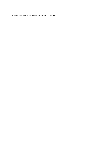*Please see Guidance Notes for further clarification.*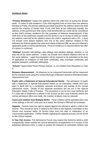# **Guidance Notes:**

"**Primary Residence**" means the address which the child lives at during the School week. In cases of split residence, if the child regularly lives at more than one address Monday to Friday, the primary address provided should be the address where the child spends the majority of his/her time. If the child lives at two addresses equally, the address of the parent/carer that claims child benefit/child tax credit will be considered as the child's primary residence (for the purposes of distance measurement). If the child lives at two addresses equally and the family is not in receipt of child tax credits the address used will be the address where the child is registered with a GP. It does not include more distant relations who live at the same address. Subject to this definition the School applies the rules and criteria of Barnet LBB, as set out in Barnet's applicable guide to School admissions. Proof of residence is required before the offer of a place is confirmed.

"**Siblings**" includes half-siblings, step-siblings and adopted siblings, whether or not they live at the same address. It does not include more distant relations who live at the same address. Legal documentation will be required to be submitted at the time of application as evidence of half (birth certificate), step (marriage certificate) and adopted (adoption certificate) siblingship.

"**School**" means Rosh Pinah Primary School, i.e. for children from Reception to Year 6.

**Distance Measurement**: All distances to be measured hereunder will be measured by the shortest route using the London Borough of Barnet's School's Admissions team measurement tool.

**Pupils with a Statement of Special Educational Needs**: The admission of pupils with a Statement of Special Educational Needs (or an Education, Health and Care plan) is dealt with by a completely separate procedure and outside of the normal admissions round. Details of this separate procedure are set out in the *Special Education Needs Code of Practice.* This procedure is run by the Local Authority and if a child with a Statement is placed in the School via the Local Authority before the normal admission offers are made, the number of places may be reduced.

**Twins and children from Multiple Births**: These children will be admitted when one of the siblings is the 60<sup>th</sup> child and, as a result, the School's PAN will be increased.

**Appeals**: Parents have the right to appeal against the refusal to admit a child to the School. This should be done in writing to the Clerk to the Appeals Committee at the School and received within 20 School Days from the date of notification of an unsuccessful application. Further Details regarding the appeals process can be found on the School website.

**In Year Fair Access**: The Admissions Forum may require the School to admit a child exceptionally, either outside the normal admissions arrangements or in excess of the published admission limit, in order to protect the interests of vulnerable children and